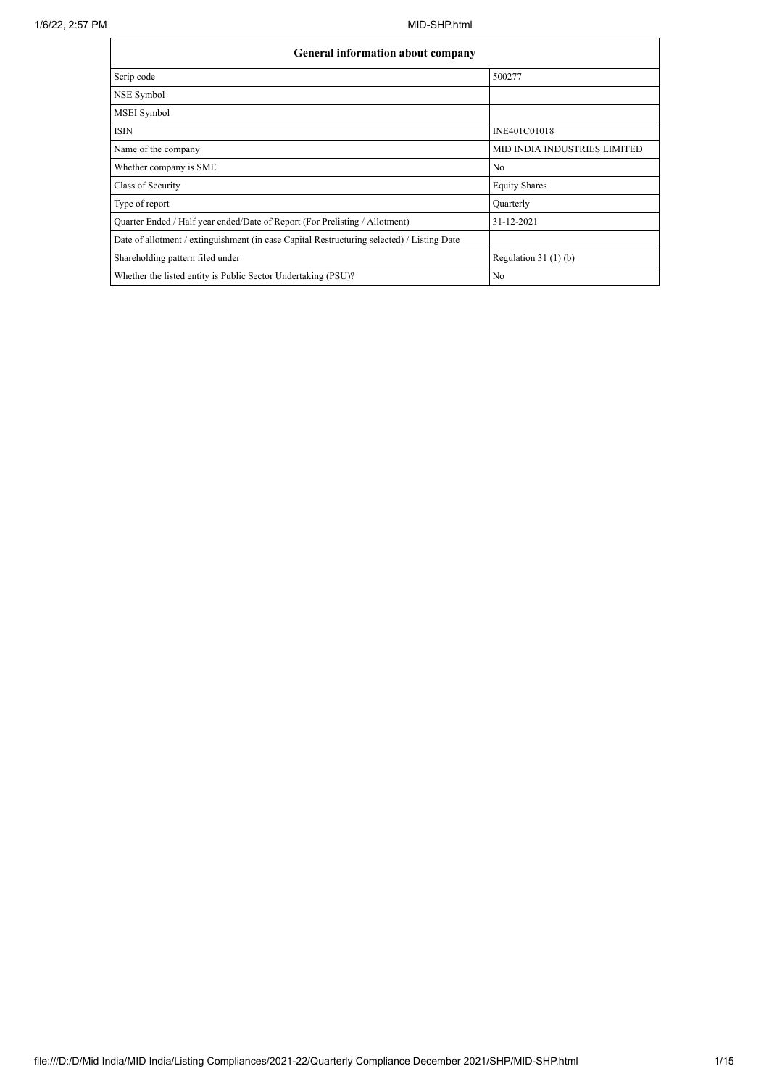| <b>General information about company</b>                                                   |                                     |  |  |  |  |  |  |
|--------------------------------------------------------------------------------------------|-------------------------------------|--|--|--|--|--|--|
| Scrip code                                                                                 | 500277                              |  |  |  |  |  |  |
| NSE Symbol                                                                                 |                                     |  |  |  |  |  |  |
| MSEI Symbol                                                                                |                                     |  |  |  |  |  |  |
| <b>ISIN</b>                                                                                | INE401C01018                        |  |  |  |  |  |  |
| Name of the company                                                                        | <b>MID INDIA INDUSTRIES LIMITED</b> |  |  |  |  |  |  |
| Whether company is SME                                                                     | N <sub>0</sub>                      |  |  |  |  |  |  |
| Class of Security                                                                          | <b>Equity Shares</b>                |  |  |  |  |  |  |
| Type of report                                                                             | Quarterly                           |  |  |  |  |  |  |
| Quarter Ended / Half year ended/Date of Report (For Prelisting / Allotment)                | 31-12-2021                          |  |  |  |  |  |  |
| Date of allotment / extinguishment (in case Capital Restructuring selected) / Listing Date |                                     |  |  |  |  |  |  |
| Shareholding pattern filed under                                                           | Regulation $31(1)(b)$               |  |  |  |  |  |  |
| Whether the listed entity is Public Sector Undertaking (PSU)?                              | No                                  |  |  |  |  |  |  |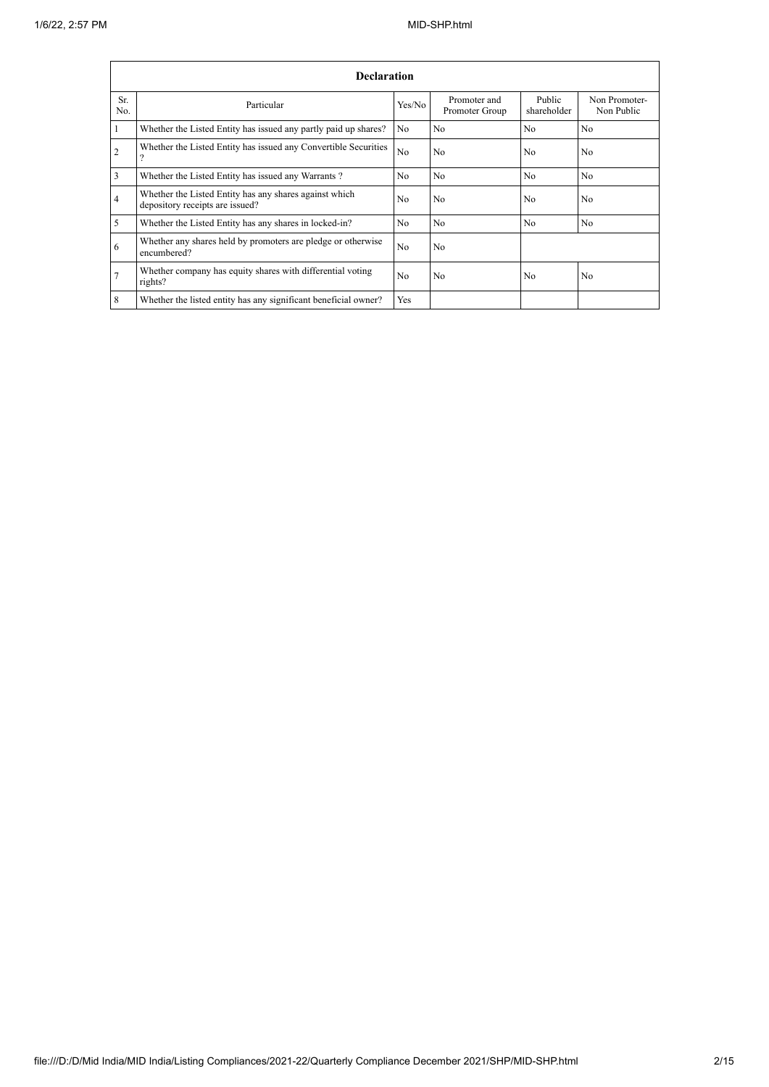|            | <b>Declaration</b>                                                                        |                |                                |                       |                             |  |  |  |  |  |  |
|------------|-------------------------------------------------------------------------------------------|----------------|--------------------------------|-----------------------|-----------------------------|--|--|--|--|--|--|
| Sr.<br>No. | Particular                                                                                | Yes/No         | Promoter and<br>Promoter Group | Public<br>shareholder | Non Promoter-<br>Non Public |  |  |  |  |  |  |
|            | Whether the Listed Entity has issued any partly paid up shares?                           | No             | N <sub>0</sub>                 | N <sub>0</sub>        | No                          |  |  |  |  |  |  |
| 2          | Whether the Listed Entity has issued any Convertible Securities                           | N <sub>o</sub> | No                             | N <sub>0</sub>        | No                          |  |  |  |  |  |  |
| 3          | Whether the Listed Entity has issued any Warrants?                                        | N <sub>o</sub> | N <sub>0</sub>                 | N <sub>0</sub>        | No                          |  |  |  |  |  |  |
| 4          | Whether the Listed Entity has any shares against which<br>depository receipts are issued? | N <sub>0</sub> | N <sub>0</sub>                 | N <sub>0</sub>        | N <sub>0</sub>              |  |  |  |  |  |  |
| 5          | Whether the Listed Entity has any shares in locked-in?                                    | N <sub>o</sub> | N <sub>0</sub>                 | N <sub>0</sub>        | No                          |  |  |  |  |  |  |
| 6          | Whether any shares held by promoters are pledge or otherwise<br>encumbered?               | N <sub>o</sub> | No                             |                       |                             |  |  |  |  |  |  |
|            | Whether company has equity shares with differential voting<br>rights?                     | No             | No                             | N <sub>0</sub>        | N <sub>0</sub>              |  |  |  |  |  |  |
| 8          | Whether the listed entity has any significant beneficial owner?                           | Yes            |                                |                       |                             |  |  |  |  |  |  |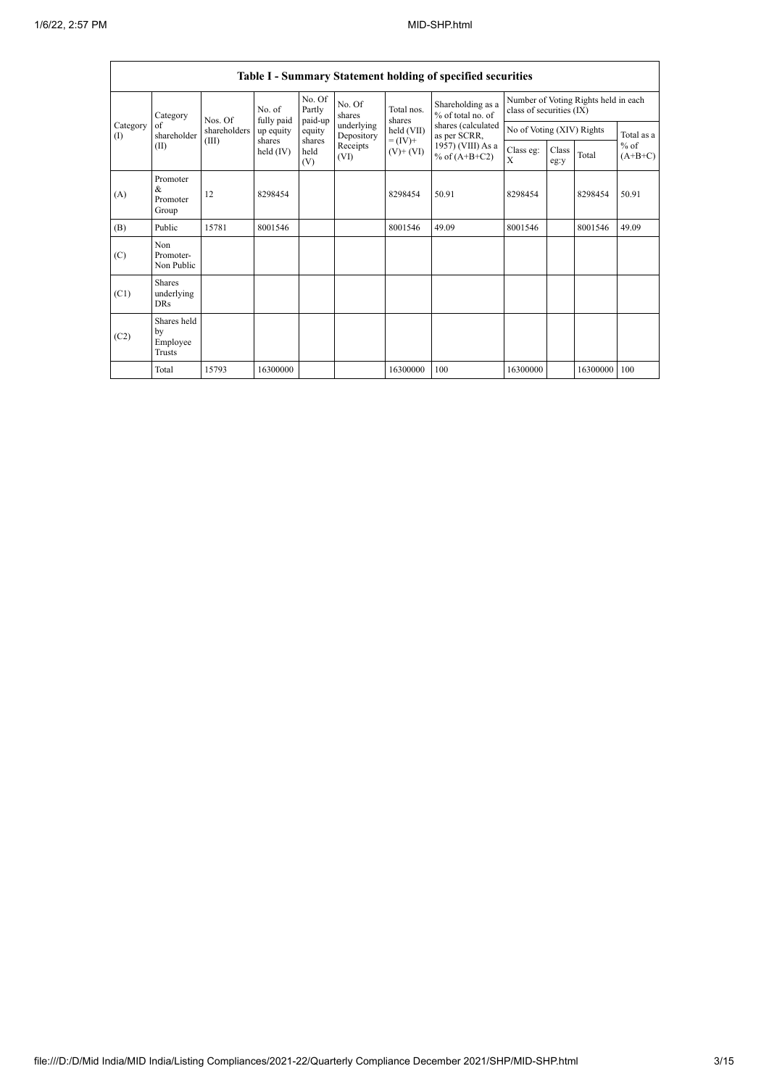|                   | Table I - Summary Statement holding of specified securities |                                  |                                                            |                             |                          |                                                                    |                                                                              |                                                                  |               |          |                                   |  |
|-------------------|-------------------------------------------------------------|----------------------------------|------------------------------------------------------------|-----------------------------|--------------------------|--------------------------------------------------------------------|------------------------------------------------------------------------------|------------------------------------------------------------------|---------------|----------|-----------------------------------|--|
| Category<br>$($ I | Category<br>of<br>shareholder<br>(II)                       | Nos. Of<br>shareholders<br>(III) | No. of<br>fully paid<br>up equity<br>shares<br>held $(IV)$ | No. Of<br>Partly<br>paid-up | No. Of<br>shares         | Total nos.<br>shares<br>held (VII)<br>$= (IV) +$<br>$(V)$ + $(VI)$ | Shareholding as a<br>% of total no. of<br>shares (calculated<br>as per SCRR, | Number of Voting Rights held in each<br>class of securities (IX) |               |          |                                   |  |
|                   |                                                             |                                  |                                                            | equity                      | underlying<br>Depository |                                                                    |                                                                              | No of Voting (XIV) Rights                                        |               |          | Total as a<br>$%$ of<br>$(A+B+C)$ |  |
|                   |                                                             |                                  |                                                            | shares<br>held<br>(V)       | Receipts<br>(VI)         |                                                                    | 1957) (VIII) As a<br>% of $(A+B+C2)$                                         | Class eg:<br>X                                                   | Class<br>eg:y | Total    |                                   |  |
| (A)               | Promoter<br>&<br>Promoter<br>Group                          | 12                               | 8298454                                                    |                             |                          | 8298454                                                            | 50.91                                                                        | 8298454                                                          |               | 8298454  | 50.91                             |  |
| (B)               | Public                                                      | 15781                            | 8001546                                                    |                             |                          | 8001546                                                            | 49.09                                                                        | 8001546                                                          |               | 8001546  | 49.09                             |  |
| (C)               | Non<br>Promoter-<br>Non Public                              |                                  |                                                            |                             |                          |                                                                    |                                                                              |                                                                  |               |          |                                   |  |
| (C1)              | <b>Shares</b><br>underlying<br><b>DRs</b>                   |                                  |                                                            |                             |                          |                                                                    |                                                                              |                                                                  |               |          |                                   |  |
| (C2)              | Shares held<br>by<br>Employee<br>Trusts                     |                                  |                                                            |                             |                          |                                                                    |                                                                              |                                                                  |               |          |                                   |  |
|                   | Total                                                       | 15793                            | 16300000                                                   |                             |                          | 16300000                                                           | 100                                                                          | 16300000                                                         |               | 16300000 | 100                               |  |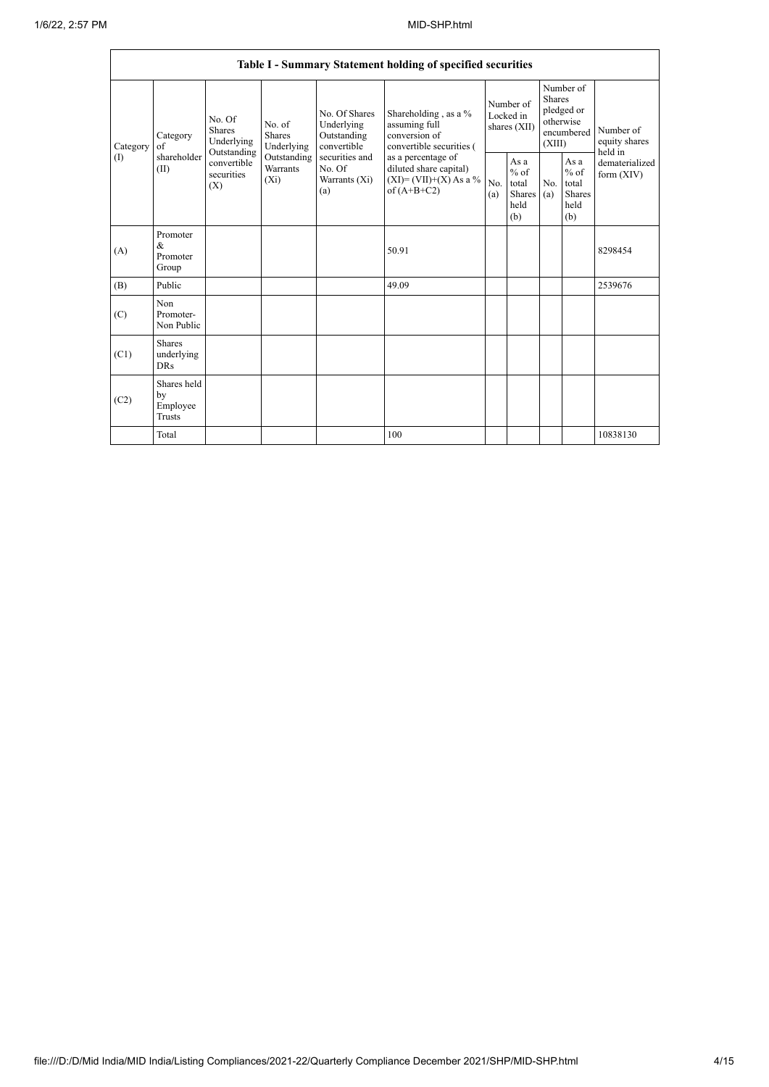| Category<br>( | Category<br>of<br>shareholder<br>(II)     | No. Of<br>Shares<br>Underlying<br>Outstanding<br>convertible<br>securities<br>(X) | No. of<br>Shares<br>Underlying<br>Outstanding<br>Warrants<br>$(X_i)$ | No. Of Shares<br>Underlying<br>Outstanding<br>convertible<br>securities and<br>No. Of<br>Warrants (Xi)<br>(a) | Shareholding, as a %<br>assuming full<br>conversion of<br>convertible securities (<br>as a percentage of<br>diluted share capital)<br>$(XI)=(VII)+(X)$ As a %<br>of $(A+B+C2)$ | Number of<br>Locked in<br>shares (XII) |                                                        | Number of<br><b>Shares</b><br>pledged or<br>otherwise<br>encumbered<br>(XIII) |                                                  | Number of<br>equity shares<br>held in |
|---------------|-------------------------------------------|-----------------------------------------------------------------------------------|----------------------------------------------------------------------|---------------------------------------------------------------------------------------------------------------|--------------------------------------------------------------------------------------------------------------------------------------------------------------------------------|----------------------------------------|--------------------------------------------------------|-------------------------------------------------------------------------------|--------------------------------------------------|---------------------------------------|
|               |                                           |                                                                                   |                                                                      |                                                                                                               |                                                                                                                                                                                | No.<br>(a)                             | As a<br>$%$ of<br>total<br>Shares $(a)$<br>held<br>(b) | No.                                                                           | As a<br>$%$ of<br>total<br>Shares<br>held<br>(b) | dematerialized<br>form $(XIV)$        |
| (A)           | Promoter<br>&<br>Promoter<br>Group        |                                                                                   |                                                                      |                                                                                                               | 50.91                                                                                                                                                                          |                                        |                                                        |                                                                               |                                                  | 8298454                               |
| (B)           | Public                                    |                                                                                   |                                                                      |                                                                                                               | 49.09                                                                                                                                                                          |                                        |                                                        |                                                                               |                                                  | 2539676                               |
| (C)           | Non<br>Promoter-<br>Non Public            |                                                                                   |                                                                      |                                                                                                               |                                                                                                                                                                                |                                        |                                                        |                                                                               |                                                  |                                       |
| (C1)          | <b>Shares</b><br>underlying<br><b>DRs</b> |                                                                                   |                                                                      |                                                                                                               |                                                                                                                                                                                |                                        |                                                        |                                                                               |                                                  |                                       |
| (C2)          | Shares held<br>by<br>Employee<br>Trusts   |                                                                                   |                                                                      |                                                                                                               |                                                                                                                                                                                |                                        |                                                        |                                                                               |                                                  |                                       |
|               | Total                                     |                                                                                   |                                                                      |                                                                                                               | 100                                                                                                                                                                            |                                        |                                                        |                                                                               |                                                  | 10838130                              |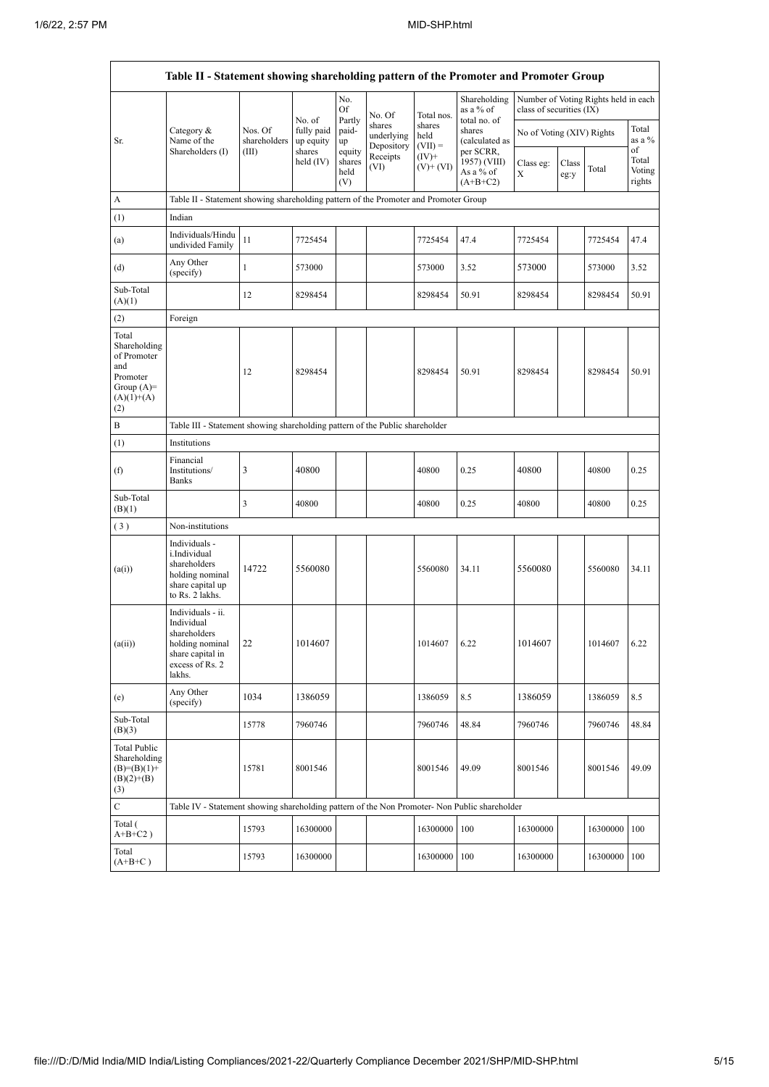|                                                                                                | Table II - Statement showing shareholding pattern of the Promoter and Promoter Group                                   |                                  |                                             |                                 |                                    |                             |                                                       |                           |               |                                      |                           |  |
|------------------------------------------------------------------------------------------------|------------------------------------------------------------------------------------------------------------------------|----------------------------------|---------------------------------------------|---------------------------------|------------------------------------|-----------------------------|-------------------------------------------------------|---------------------------|---------------|--------------------------------------|---------------------------|--|
|                                                                                                |                                                                                                                        |                                  |                                             | No.<br>Of                       | No. Of                             | Total nos.                  | Shareholding<br>as a % of                             | class of securities (IX)  |               | Number of Voting Rights held in each |                           |  |
| Sr.                                                                                            | Category &<br>Name of the                                                                                              | Nos. Of<br>shareholders<br>(III) | No. of<br>fully paid<br>up equity<br>shares | Partly<br>paid-<br>up           | shares<br>underlying<br>Depository | shares<br>held<br>$(VII) =$ | total no. of<br>shares<br>(calculated as<br>per SCRR, | No of Voting (XIV) Rights |               |                                      | Total<br>as a %<br>of     |  |
|                                                                                                | Shareholders (I)                                                                                                       |                                  | held $(IV)$                                 | equity<br>shares<br>held<br>(V) | Receipts<br>(VI)                   | $(IV)+$<br>$(V)$ + $(VI)$   | 1957) (VIII)<br>As a % of<br>$(A+B+C2)$               | Class eg:<br>X            | Class<br>eg:y | Total                                | Total<br>Voting<br>rights |  |
| A                                                                                              | Table II - Statement showing shareholding pattern of the Promoter and Promoter Group                                   |                                  |                                             |                                 |                                    |                             |                                                       |                           |               |                                      |                           |  |
| (1)                                                                                            | Indian                                                                                                                 |                                  |                                             |                                 |                                    |                             |                                                       |                           |               |                                      |                           |  |
| (a)                                                                                            | Individuals/Hindu<br>undivided Family                                                                                  | 11                               | 7725454                                     |                                 |                                    | 7725454                     | 47.4                                                  | 7725454                   |               | 7725454                              | 47.4                      |  |
| (d)                                                                                            | Any Other<br>(specify)                                                                                                 | $\mathbf{1}$                     | 573000                                      |                                 |                                    | 573000                      | 3.52                                                  | 573000                    |               | 573000                               | 3.52                      |  |
| Sub-Total<br>(A)(1)                                                                            |                                                                                                                        | 12                               | 8298454                                     |                                 |                                    | 8298454                     | 50.91                                                 | 8298454                   |               | 8298454                              | 50.91                     |  |
| (2)                                                                                            | Foreign                                                                                                                |                                  |                                             |                                 |                                    |                             |                                                       |                           |               |                                      |                           |  |
| Total<br>Shareholding<br>of Promoter<br>and<br>Promoter<br>Group $(A)=$<br>$(A)(1)+(A)$<br>(2) |                                                                                                                        | 12                               | 8298454                                     |                                 |                                    | 8298454                     | 50.91                                                 | 8298454                   |               | 8298454                              | 50.91                     |  |
| B                                                                                              | Table III - Statement showing shareholding pattern of the Public shareholder                                           |                                  |                                             |                                 |                                    |                             |                                                       |                           |               |                                      |                           |  |
| (1)                                                                                            | Institutions                                                                                                           |                                  |                                             |                                 |                                    |                             |                                                       |                           |               |                                      |                           |  |
| (f)                                                                                            | Financial<br>Institutions/<br>Banks                                                                                    | 3                                | 40800                                       |                                 |                                    | 40800                       | 0.25                                                  | 40800                     |               | 40800                                | 0.25                      |  |
| Sub-Total<br>(B)(1)                                                                            |                                                                                                                        | 3                                | 40800                                       |                                 |                                    | 40800                       | 0.25                                                  | 40800                     |               | 40800                                | 0.25                      |  |
| (3)                                                                                            | Non-institutions                                                                                                       |                                  |                                             |                                 |                                    |                             |                                                       |                           |               |                                      |                           |  |
| (a(i))                                                                                         | Individuals -<br>i.Individual<br>shareholders<br>holding nominal<br>share capital up<br>to Rs. 2 lakhs.                | 14722                            | 5560080                                     |                                 |                                    | 5560080                     | 34.11                                                 | 5560080                   |               | 5560080                              | 34.11                     |  |
| (a(ii))                                                                                        | Individuals - ii.<br>Individual<br>shareholders<br>holding nominal 22<br>share capital in<br>excess of Rs. 2<br>lakhs. |                                  | 1014607                                     |                                 |                                    | 1014607                     | 6.22                                                  | 1014607                   |               | 1014607                              | 6.22                      |  |
| (e)                                                                                            | Any Other<br>(specify)                                                                                                 | 1034                             | 1386059                                     |                                 |                                    | 1386059                     | 8.5                                                   | 1386059                   |               | 1386059                              | 8.5                       |  |
| Sub-Total<br>(B)(3)                                                                            |                                                                                                                        | 15778                            | 7960746                                     |                                 |                                    | 7960746                     | 48.84                                                 | 7960746                   |               | 7960746                              | 48.84                     |  |
| <b>Total Public</b><br>Shareholding<br>$(B)=(B)(1)+$<br>$(B)(2)+(B)$<br>(3)                    |                                                                                                                        | 15781                            | 8001546                                     |                                 |                                    | 8001546                     | 49.09                                                 | 8001546                   |               | 8001546                              | 49.09                     |  |
| $\mathbf C$                                                                                    | Table IV - Statement showing shareholding pattern of the Non Promoter- Non Public shareholder                          |                                  |                                             |                                 |                                    |                             |                                                       |                           |               |                                      |                           |  |
| Total (<br>$A+B+C2$ )                                                                          |                                                                                                                        | 15793                            | 16300000                                    |                                 |                                    | 16300000                    | 100                                                   | 16300000                  |               | 16300000                             | 100                       |  |
| Total<br>$(A+B+C)$                                                                             |                                                                                                                        | 15793                            | 16300000                                    |                                 |                                    | 16300000                    | 100                                                   | 16300000                  |               | 16300000                             | 100                       |  |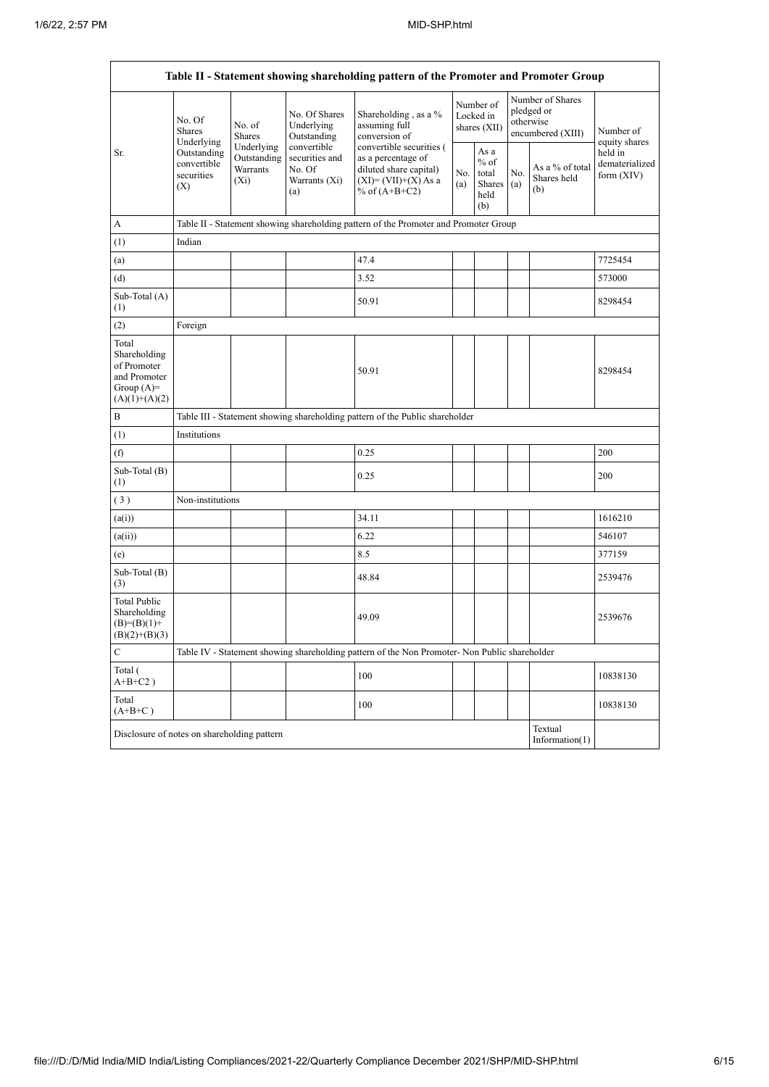r

|                                                                                         | Table II - Statement showing shareholding pattern of the Promoter and Promoter Group |                                                                                      |                                                                 |                                                                                                                      |            |                                                  |                                                                  |                                       |                                           |  |  |  |
|-----------------------------------------------------------------------------------------|--------------------------------------------------------------------------------------|--------------------------------------------------------------------------------------|-----------------------------------------------------------------|----------------------------------------------------------------------------------------------------------------------|------------|--------------------------------------------------|------------------------------------------------------------------|---------------------------------------|-------------------------------------------|--|--|--|
|                                                                                         | No. Of<br><b>Shares</b><br>Underlying                                                | No. of<br>Shares                                                                     | No. Of Shares<br>Underlying<br>Outstanding                      | Shareholding, as a %<br>assuming full<br>conversion of                                                               |            | Number of<br>Locked in<br>shares (XII)           | Number of Shares<br>pledged or<br>otherwise<br>encumbered (XIII) |                                       | Number of<br>equity shares                |  |  |  |
| Sr.                                                                                     | Outstanding<br>convertible<br>securities<br>(X)                                      | Underlying<br>Outstanding<br>Warrants<br>$(X_i)$                                     | convertible<br>securities and<br>No. Of<br>Warrants (Xi)<br>(a) | convertible securities (<br>as a percentage of<br>diluted share capital)<br>$(XI)=(VII)+(X) As a$<br>% of $(A+B+C2)$ | No.<br>(a) | As a<br>$%$ of<br>total<br>Shares<br>held<br>(b) | No.<br>(a)                                                       | As a % of total<br>Shares held<br>(b) | held in<br>dematerialized<br>form $(XIV)$ |  |  |  |
| А                                                                                       |                                                                                      | Table II - Statement showing shareholding pattern of the Promoter and Promoter Group |                                                                 |                                                                                                                      |            |                                                  |                                                                  |                                       |                                           |  |  |  |
| (1)                                                                                     | Indian                                                                               |                                                                                      |                                                                 |                                                                                                                      |            |                                                  |                                                                  |                                       |                                           |  |  |  |
| (a)                                                                                     |                                                                                      |                                                                                      |                                                                 | 47.4                                                                                                                 |            |                                                  |                                                                  |                                       | 7725454                                   |  |  |  |
| (d)                                                                                     |                                                                                      |                                                                                      |                                                                 | 3.52                                                                                                                 |            |                                                  |                                                                  |                                       | 573000                                    |  |  |  |
| Sub-Total (A)<br>(1)                                                                    |                                                                                      |                                                                                      |                                                                 | 50.91                                                                                                                |            |                                                  |                                                                  |                                       | 8298454                                   |  |  |  |
| (2)                                                                                     | Foreign                                                                              |                                                                                      |                                                                 |                                                                                                                      |            |                                                  |                                                                  |                                       |                                           |  |  |  |
| Total<br>Shareholding<br>of Promoter<br>and Promoter<br>Group $(A)=$<br>$(A)(1)+(A)(2)$ |                                                                                      |                                                                                      |                                                                 | 50.91                                                                                                                |            |                                                  |                                                                  |                                       | 8298454                                   |  |  |  |
| B                                                                                       |                                                                                      | Table III - Statement showing shareholding pattern of the Public shareholder         |                                                                 |                                                                                                                      |            |                                                  |                                                                  |                                       |                                           |  |  |  |
| (1)                                                                                     | Institutions                                                                         |                                                                                      |                                                                 |                                                                                                                      |            |                                                  |                                                                  |                                       |                                           |  |  |  |
| (f)                                                                                     |                                                                                      |                                                                                      |                                                                 | 0.25                                                                                                                 |            |                                                  |                                                                  |                                       | 200                                       |  |  |  |
| Sub-Total (B)<br>(1)                                                                    |                                                                                      |                                                                                      |                                                                 | 0.25                                                                                                                 |            |                                                  |                                                                  |                                       | 200                                       |  |  |  |
| (3)                                                                                     | Non-institutions                                                                     |                                                                                      |                                                                 |                                                                                                                      |            |                                                  |                                                                  |                                       |                                           |  |  |  |
| (a(i))                                                                                  |                                                                                      |                                                                                      |                                                                 | 34.11                                                                                                                |            |                                                  |                                                                  |                                       | 1616210                                   |  |  |  |
| (a(ii))                                                                                 |                                                                                      |                                                                                      |                                                                 | 6.22                                                                                                                 |            |                                                  |                                                                  |                                       | 546107                                    |  |  |  |
| (e)                                                                                     |                                                                                      |                                                                                      |                                                                 | 8.5                                                                                                                  |            |                                                  |                                                                  |                                       | 377159                                    |  |  |  |
| Sub-Total (B)<br>(3)                                                                    |                                                                                      |                                                                                      |                                                                 | 48.84                                                                                                                |            |                                                  |                                                                  |                                       | 2539476                                   |  |  |  |
| Total Public<br>Shareholding<br>$(B)=(B)(1)+$<br>$(B)(2)+(B)(3)$                        |                                                                                      |                                                                                      |                                                                 | 49.09                                                                                                                |            |                                                  |                                                                  |                                       | 2539676                                   |  |  |  |
| ${\bf C}$                                                                               |                                                                                      |                                                                                      |                                                                 | Table IV - Statement showing shareholding pattern of the Non Promoter- Non Public shareholder                        |            |                                                  |                                                                  |                                       |                                           |  |  |  |
| Total (<br>$A+B+C2$ )                                                                   |                                                                                      |                                                                                      |                                                                 | 100                                                                                                                  |            |                                                  |                                                                  |                                       | 10838130                                  |  |  |  |
| Total<br>$(A+B+C)$                                                                      |                                                                                      |                                                                                      |                                                                 | 100                                                                                                                  |            |                                                  |                                                                  |                                       | 10838130                                  |  |  |  |
|                                                                                         | Textual<br>Disclosure of notes on shareholding pattern<br>Information(1)             |                                                                                      |                                                                 |                                                                                                                      |            |                                                  |                                                                  |                                       |                                           |  |  |  |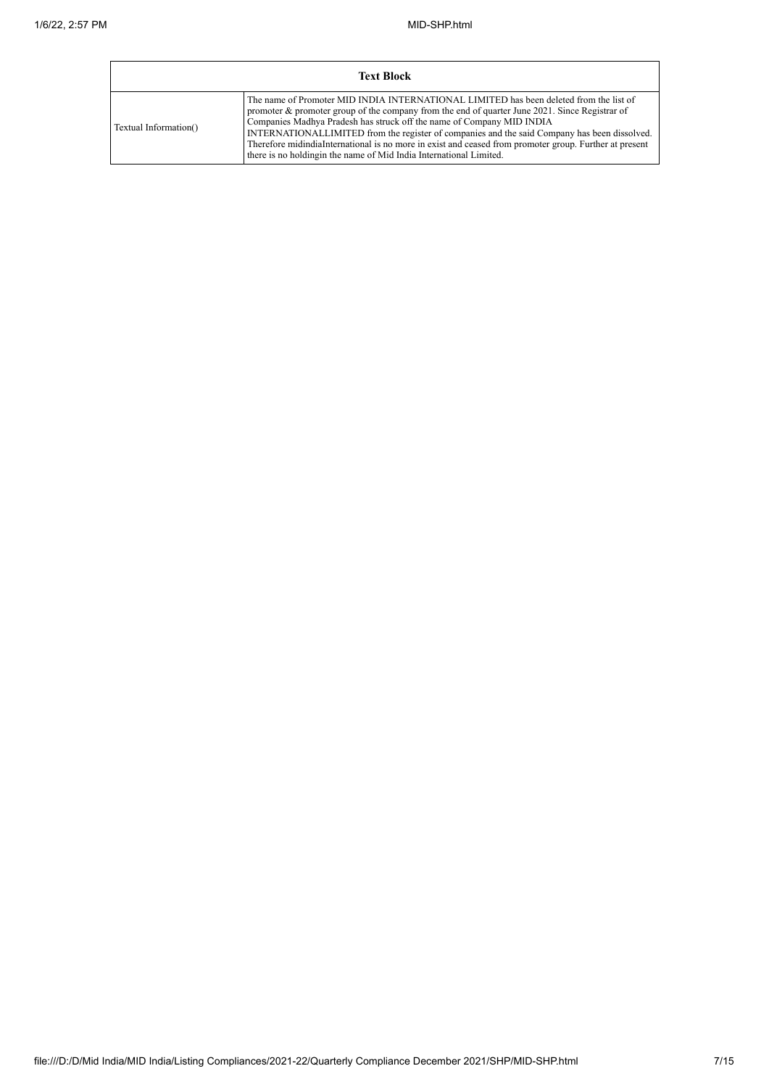| <b>Text Block</b>     |                                                                                                                                                                                                                                                                                                                                                                                                                                                                                                                                                    |  |  |  |  |  |  |
|-----------------------|----------------------------------------------------------------------------------------------------------------------------------------------------------------------------------------------------------------------------------------------------------------------------------------------------------------------------------------------------------------------------------------------------------------------------------------------------------------------------------------------------------------------------------------------------|--|--|--|--|--|--|
| Textual Information() | The name of Promoter MID INDIA INTERNATIONAL LIMITED has been deleted from the list of<br>promoter & promoter group of the company from the end of quarter June 2021. Since Registrar of<br>Companies Madhya Pradesh has struck off the name of Company MID INDIA<br>INTERNATIONALLIMITED from the register of companies and the said Company has been dissolved.<br>Therefore midindiaInternational is no more in exist and ceased from promoter group. Further at present<br>there is no holding in the name of Mid India International Limited. |  |  |  |  |  |  |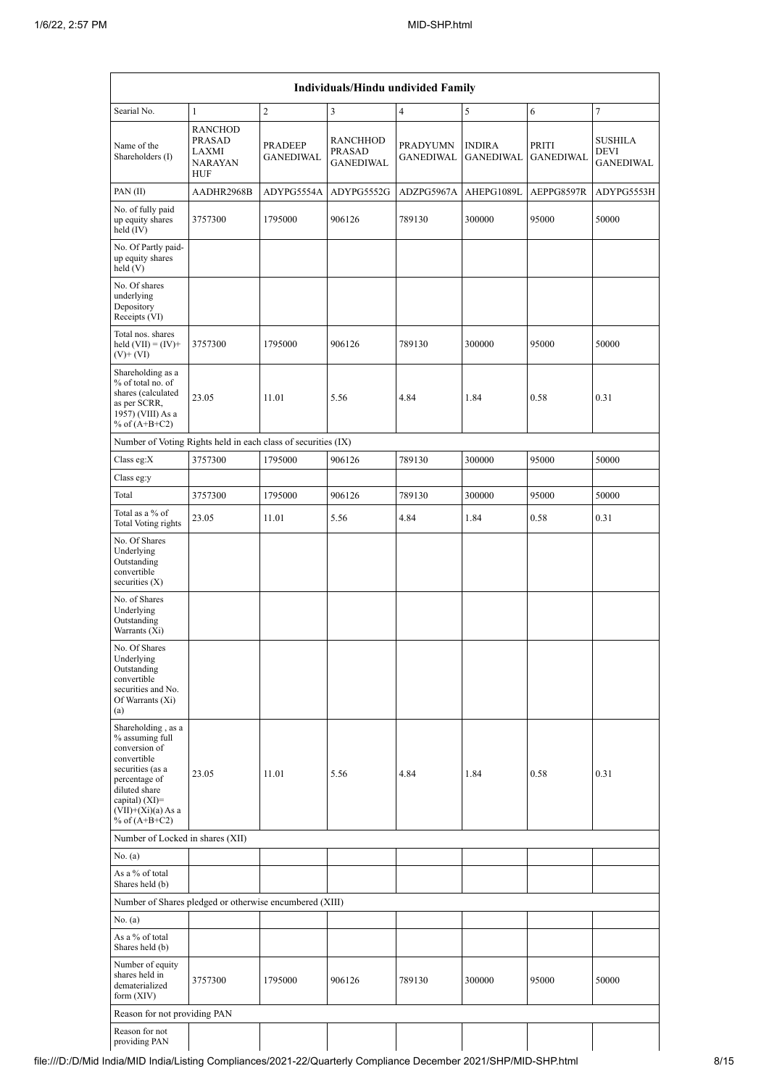|                                                                                                                                                                                            | Individuals/Hindu undivided Family                                       |                                    |                                               |                                     |                                   |                           |                                     |  |  |  |  |
|--------------------------------------------------------------------------------------------------------------------------------------------------------------------------------------------|--------------------------------------------------------------------------|------------------------------------|-----------------------------------------------|-------------------------------------|-----------------------------------|---------------------------|-------------------------------------|--|--|--|--|
| Searial No.                                                                                                                                                                                | $\mathbf{1}$                                                             | $\boldsymbol{2}$                   | $\mathfrak{Z}$                                | $\overline{4}$                      | 5                                 | 6                         | $\overline{7}$                      |  |  |  |  |
| Name of the<br>Shareholders (I)                                                                                                                                                            | <b>RANCHOD</b><br><b>PRASAD</b><br>LAXMI<br><b>NARAYAN</b><br><b>HUF</b> | <b>PRADEEP</b><br><b>GANEDIWAL</b> | <b>RANCHHOD</b><br>PRASAD<br><b>GANEDIWAL</b> | <b>PRADYUMN</b><br><b>GANEDIWAL</b> | <b>INDIRA</b><br><b>GANEDIWAL</b> | PRITI<br><b>GANEDIWAL</b> | SUSHILA<br>DEVI<br><b>GANEDIWAL</b> |  |  |  |  |
| PAN $(II)$                                                                                                                                                                                 | AADHR2968B                                                               | ADYPG5554A                         | ADYPG5552G                                    | ADZPG5967A                          | AHEPG1089L                        | AEPPG8597R                | ADYPG5553H                          |  |  |  |  |
| No. of fully paid<br>up equity shares<br>held $(IV)$                                                                                                                                       | 3757300                                                                  | 1795000                            | 906126                                        | 789130                              | 300000                            | 95000                     | 50000                               |  |  |  |  |
| No. Of Partly paid-<br>up equity shares<br>held(V)                                                                                                                                         |                                                                          |                                    |                                               |                                     |                                   |                           |                                     |  |  |  |  |
| No. Of shares<br>underlying<br>Depository<br>Receipts (VI)                                                                                                                                 |                                                                          |                                    |                                               |                                     |                                   |                           |                                     |  |  |  |  |
| Total nos. shares<br>held $(VII) = (IV) +$<br>$(V)$ + $(VI)$                                                                                                                               | 3757300                                                                  | 1795000                            | 906126                                        | 789130                              | 300000                            | 95000                     | 50000                               |  |  |  |  |
| Shareholding as a<br>% of total no. of<br>shares (calculated<br>as per SCRR,<br>1957) (VIII) As a<br>% of $(A+B+C2)$                                                                       | 23.05                                                                    | 11.01                              | 5.56                                          | 4.84                                | 1.84                              | 0.58                      | 0.31                                |  |  |  |  |
| Number of Voting Rights held in each class of securities (IX)                                                                                                                              |                                                                          |                                    |                                               |                                     |                                   |                           |                                     |  |  |  |  |
| Class eg: $X$                                                                                                                                                                              | 3757300                                                                  | 1795000                            | 906126                                        | 789130                              | 300000                            | 95000                     | 50000                               |  |  |  |  |
| Class eg:y                                                                                                                                                                                 |                                                                          |                                    |                                               |                                     |                                   |                           |                                     |  |  |  |  |
| Total                                                                                                                                                                                      | 3757300                                                                  | 1795000                            | 906126                                        | 789130                              | 300000                            | 95000                     | 50000                               |  |  |  |  |
| Total as a % of<br>Total Voting rights                                                                                                                                                     | 23.05                                                                    | 11.01                              | 5.56                                          | 4.84                                | 1.84                              | 0.58                      | 0.31                                |  |  |  |  |
| No. Of Shares<br>Underlying<br>Outstanding<br>convertible<br>securities $(X)$                                                                                                              |                                                                          |                                    |                                               |                                     |                                   |                           |                                     |  |  |  |  |
| No. of Shares<br>Underlying<br>Outstanding<br>Warrants (Xi)                                                                                                                                |                                                                          |                                    |                                               |                                     |                                   |                           |                                     |  |  |  |  |
| No. Of Shares<br>Underlying<br>Outstanding<br>convertible<br>securities and No.<br>Of Warrants (Xi)<br>(a)                                                                                 |                                                                          |                                    |                                               |                                     |                                   |                           |                                     |  |  |  |  |
| Shareholding, as a<br>% assuming full<br>conversion of<br>convertible<br>securities (as a<br>percentage of<br>diluted share<br>capital) $(XI)=$<br>$(VII)+(Xi)(a) As a$<br>% of $(A+B+C2)$ | 23.05                                                                    | 11.01                              | 5.56                                          | 4.84                                | 1.84                              | 0.58                      | 0.31                                |  |  |  |  |
| Number of Locked in shares (XII)                                                                                                                                                           |                                                                          |                                    |                                               |                                     |                                   |                           |                                     |  |  |  |  |
| No. (a)                                                                                                                                                                                    |                                                                          |                                    |                                               |                                     |                                   |                           |                                     |  |  |  |  |
| As a % of total<br>Shares held (b)                                                                                                                                                         |                                                                          |                                    |                                               |                                     |                                   |                           |                                     |  |  |  |  |
| Number of Shares pledged or otherwise encumbered (XIII)                                                                                                                                    |                                                                          |                                    |                                               |                                     |                                   |                           |                                     |  |  |  |  |
| No. (a)                                                                                                                                                                                    |                                                                          |                                    |                                               |                                     |                                   |                           |                                     |  |  |  |  |
| As a % of total<br>Shares held (b)                                                                                                                                                         |                                                                          |                                    |                                               |                                     |                                   |                           |                                     |  |  |  |  |
| Number of equity<br>shares held in<br>dematerialized<br>form $(XIV)$                                                                                                                       | 3757300                                                                  | 1795000                            | 906126                                        | 789130                              | 300000                            | 95000                     | 50000                               |  |  |  |  |
| Reason for not providing PAN                                                                                                                                                               |                                                                          |                                    |                                               |                                     |                                   |                           |                                     |  |  |  |  |
| Reason for not<br>providing PAN                                                                                                                                                            |                                                                          |                                    |                                               |                                     |                                   |                           |                                     |  |  |  |  |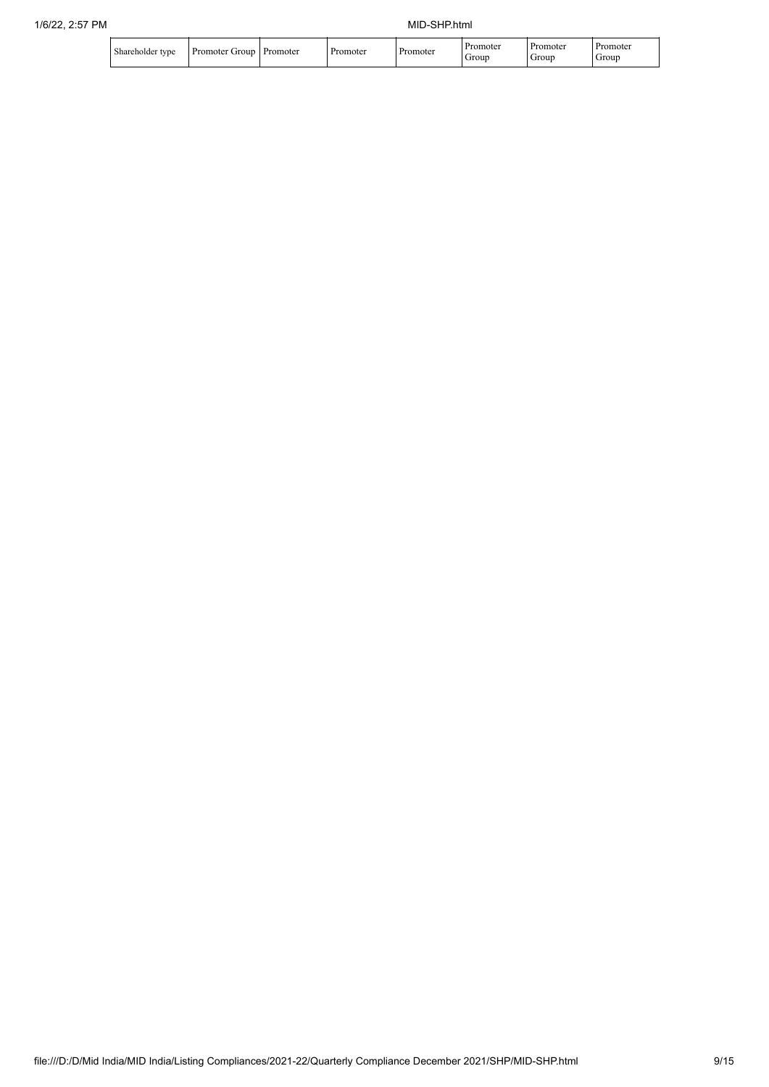|  | $\sim$ 1<br>Shareholder type | group<br>Promoter | Promoter | omoter | Promoter | .omoter<br>Grour | romoter<br>Group | Promoter<br>Group |
|--|------------------------------|-------------------|----------|--------|----------|------------------|------------------|-------------------|
|--|------------------------------|-------------------|----------|--------|----------|------------------|------------------|-------------------|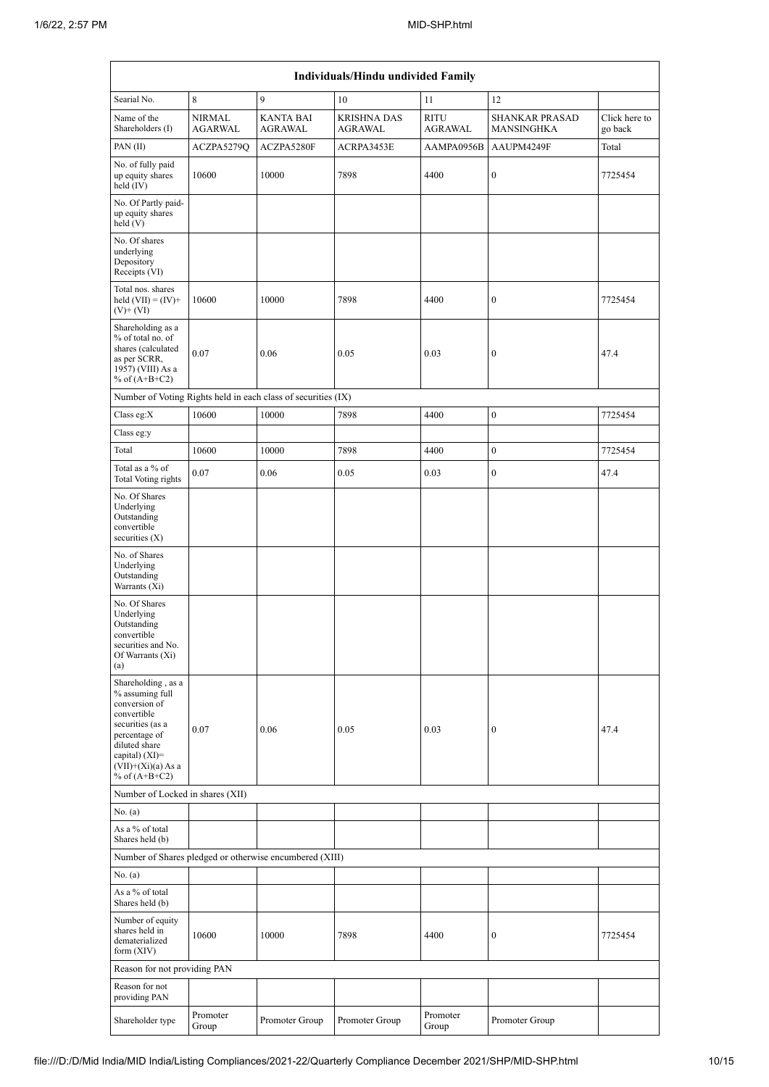| Individuals/Hindu undivided Family                                                                                                                                                         |                                 |                                                               |                                      |                               |                                     |                          |  |  |  |  |
|--------------------------------------------------------------------------------------------------------------------------------------------------------------------------------------------|---------------------------------|---------------------------------------------------------------|--------------------------------------|-------------------------------|-------------------------------------|--------------------------|--|--|--|--|
| Searial No.                                                                                                                                                                                | 8                               | 9                                                             | 10                                   | 11                            | 12                                  |                          |  |  |  |  |
| Name of the<br>Shareholders (I)                                                                                                                                                            | <b>NIRMAL</b><br><b>AGARWAL</b> | <b>KANTA BAI</b><br><b>AGRAWAL</b>                            | <b>KRISHNA DAS</b><br><b>AGRAWAL</b> | <b>RITU</b><br><b>AGRAWAL</b> | <b>SHANKAR PRASAD</b><br>MANSINGHKA | Click here to<br>go back |  |  |  |  |
| PAN(II)                                                                                                                                                                                    | ACZPA5279Q                      | ACZPA5280F                                                    | ACRPA3453E                           | AAMPA0956B                    | AAUPM4249F                          | Total                    |  |  |  |  |
| No. of fully paid<br>up equity shares<br>held (IV)                                                                                                                                         | 10600                           | 10000                                                         | 7898                                 | 4400                          | $\boldsymbol{0}$                    | 7725454                  |  |  |  |  |
| No. Of Partly paid-<br>up equity shares<br>held (V)                                                                                                                                        |                                 |                                                               |                                      |                               |                                     |                          |  |  |  |  |
| No. Of shares<br>underlying<br>Depository<br>Receipts (VI)                                                                                                                                 |                                 |                                                               |                                      |                               |                                     |                          |  |  |  |  |
| Total nos. shares<br>held $(VII) = (IV) +$<br>$(V)$ + $(VI)$                                                                                                                               | 10600                           | 10000                                                         | 7898                                 | 4400                          | $\boldsymbol{0}$                    | 7725454                  |  |  |  |  |
| Shareholding as a<br>% of total no. of<br>shares (calculated<br>as per SCRR,<br>1957) (VIII) As a<br>% of $(A+B+C2)$                                                                       | 0.07                            | 0.06                                                          | 0.05                                 | 0.03                          | $\boldsymbol{0}$                    | 47.4                     |  |  |  |  |
|                                                                                                                                                                                            |                                 | Number of Voting Rights held in each class of securities (IX) |                                      |                               |                                     |                          |  |  |  |  |
| Class eg:X                                                                                                                                                                                 | 10600                           | 10000                                                         | 7898                                 | 4400                          | $\boldsymbol{0}$                    | 7725454                  |  |  |  |  |
| Class eg:y                                                                                                                                                                                 |                                 |                                                               |                                      |                               |                                     |                          |  |  |  |  |
| Total                                                                                                                                                                                      | 10600                           | 10000                                                         | 7898                                 | 4400                          | $\boldsymbol{0}$                    | 7725454                  |  |  |  |  |
| Total as a % of<br>Total Voting rights                                                                                                                                                     | 0.07                            | 0.06                                                          | 0.05                                 | 0.03                          | $\boldsymbol{0}$                    | 47.4                     |  |  |  |  |
| No. Of Shares<br>Underlying<br>Outstanding<br>convertible<br>securities $(X)$                                                                                                              |                                 |                                                               |                                      |                               |                                     |                          |  |  |  |  |
| No. of Shares<br>Underlying<br>Outstanding<br>Warrants (Xi)                                                                                                                                |                                 |                                                               |                                      |                               |                                     |                          |  |  |  |  |
| No. Of Shares<br>Underlying<br>Outstanding<br>convertible<br>securities and No.<br>Of Warrants (Xi)<br>(a)                                                                                 |                                 |                                                               |                                      |                               |                                     |                          |  |  |  |  |
| Shareholding, as a<br>% assuming full<br>conversion of<br>convertible<br>securities (as a<br>percentage of<br>diluted share<br>capital) $(XI)=$<br>$(VII)+(Xi)(a) As a$<br>% of $(A+B+C2)$ | 0.07                            | 0.06                                                          | 0.05                                 | 0.03                          | $\boldsymbol{0}$                    | 47.4                     |  |  |  |  |
| Number of Locked in shares (XII)                                                                                                                                                           |                                 |                                                               |                                      |                               |                                     |                          |  |  |  |  |
| No. (a)                                                                                                                                                                                    |                                 |                                                               |                                      |                               |                                     |                          |  |  |  |  |
| As a % of total<br>Shares held (b)                                                                                                                                                         |                                 |                                                               |                                      |                               |                                     |                          |  |  |  |  |
|                                                                                                                                                                                            |                                 | Number of Shares pledged or otherwise encumbered (XIII)       |                                      |                               |                                     |                          |  |  |  |  |
| No. (a)                                                                                                                                                                                    |                                 |                                                               |                                      |                               |                                     |                          |  |  |  |  |
| As a % of total<br>Shares held (b)                                                                                                                                                         |                                 |                                                               |                                      |                               |                                     |                          |  |  |  |  |
| Number of equity<br>shares held in<br>dematerialized<br>form (XIV)                                                                                                                         | 10600                           | 10000                                                         | 7898                                 | 4400                          | 0                                   | 7725454                  |  |  |  |  |
| Reason for not providing PAN                                                                                                                                                               |                                 |                                                               |                                      |                               |                                     |                          |  |  |  |  |
| Reason for not<br>providing PAN                                                                                                                                                            |                                 |                                                               |                                      |                               |                                     |                          |  |  |  |  |
| Shareholder type                                                                                                                                                                           | Promoter<br>Group               | Promoter Group                                                | Promoter Group                       | Promoter<br>Group             | Promoter Group                      |                          |  |  |  |  |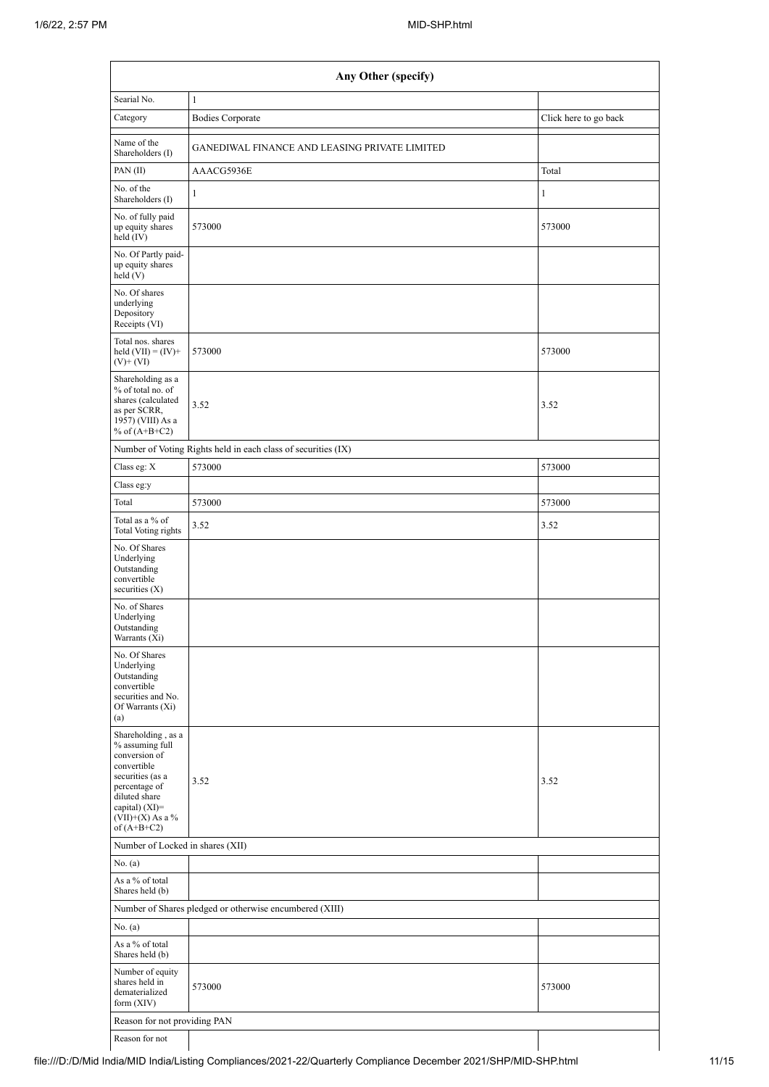|                                                                                                                                                                                      | Any Other (specify)                                           |                       |  |  |  |  |  |  |  |  |
|--------------------------------------------------------------------------------------------------------------------------------------------------------------------------------------|---------------------------------------------------------------|-----------------------|--|--|--|--|--|--|--|--|
| Searial No.                                                                                                                                                                          | $\mathbf{1}$                                                  |                       |  |  |  |  |  |  |  |  |
| Category                                                                                                                                                                             | <b>Bodies Corporate</b>                                       | Click here to go back |  |  |  |  |  |  |  |  |
| Name of the<br>Shareholders (I)                                                                                                                                                      | GANEDIWAL FINANCE AND LEASING PRIVATE LIMITED                 |                       |  |  |  |  |  |  |  |  |
| PAN $(II)$                                                                                                                                                                           | AAACG5936E                                                    | Total                 |  |  |  |  |  |  |  |  |
| No. of the<br>Shareholders (I)                                                                                                                                                       | $\mathbf{1}$                                                  | $\mathbf{1}$          |  |  |  |  |  |  |  |  |
| No. of fully paid<br>up equity shares<br>held (IV)                                                                                                                                   | 573000                                                        | 573000                |  |  |  |  |  |  |  |  |
| No. Of Partly paid-<br>up equity shares<br>held (V)                                                                                                                                  |                                                               |                       |  |  |  |  |  |  |  |  |
| No. Of shares<br>underlying<br>Depository<br>Receipts (VI)                                                                                                                           |                                                               |                       |  |  |  |  |  |  |  |  |
| Total nos. shares<br>held $(VII) = (IV) +$<br>$(V)$ + $(VI)$                                                                                                                         | 573000                                                        | 573000                |  |  |  |  |  |  |  |  |
| Shareholding as a<br>% of total no. of<br>shares (calculated<br>as per SCRR,<br>1957) (VIII) As a<br>% of $(A+B+C2)$                                                                 | 3.52                                                          | 3.52                  |  |  |  |  |  |  |  |  |
|                                                                                                                                                                                      | Number of Voting Rights held in each class of securities (IX) |                       |  |  |  |  |  |  |  |  |
| Class eg: X                                                                                                                                                                          | 573000                                                        | 573000                |  |  |  |  |  |  |  |  |
| Class eg:y                                                                                                                                                                           |                                                               |                       |  |  |  |  |  |  |  |  |
| Total                                                                                                                                                                                | 573000                                                        | 573000                |  |  |  |  |  |  |  |  |
| Total as a % of<br><b>Total Voting rights</b>                                                                                                                                        | 3.52                                                          | 3.52                  |  |  |  |  |  |  |  |  |
| No. Of Shares<br>Underlying<br>Outstanding<br>convertible<br>securities $(X)$                                                                                                        |                                                               |                       |  |  |  |  |  |  |  |  |
| No. of Shares<br>Underlying<br>Outstanding<br>Warrants (Xi)                                                                                                                          |                                                               |                       |  |  |  |  |  |  |  |  |
| No. Of Shares<br>Underlying<br>Outstanding<br>convertible<br>securities and No.<br>Of Warrants (Xi)<br>(a)                                                                           |                                                               |                       |  |  |  |  |  |  |  |  |
| Shareholding, as a<br>% assuming full<br>conversion of<br>convertible<br>securities (as a<br>percentage of<br>diluted share<br>capital) (XI)=<br>$(VII)+(X)$ As a %<br>of $(A+B+C2)$ | 3.52                                                          | 3.52                  |  |  |  |  |  |  |  |  |
| Number of Locked in shares (XII)                                                                                                                                                     |                                                               |                       |  |  |  |  |  |  |  |  |
| No. (a)                                                                                                                                                                              |                                                               |                       |  |  |  |  |  |  |  |  |
| As a % of total<br>Shares held (b)                                                                                                                                                   |                                                               |                       |  |  |  |  |  |  |  |  |
|                                                                                                                                                                                      | Number of Shares pledged or otherwise encumbered (XIII)       |                       |  |  |  |  |  |  |  |  |
| No. (a)                                                                                                                                                                              |                                                               |                       |  |  |  |  |  |  |  |  |
| As a % of total<br>Shares held (b)                                                                                                                                                   |                                                               |                       |  |  |  |  |  |  |  |  |
| Number of equity<br>shares held in<br>dematerialized<br>form (XIV)                                                                                                                   | 573000                                                        | 573000                |  |  |  |  |  |  |  |  |
| Reason for not providing PAN                                                                                                                                                         |                                                               |                       |  |  |  |  |  |  |  |  |
| Reason for not                                                                                                                                                                       |                                                               |                       |  |  |  |  |  |  |  |  |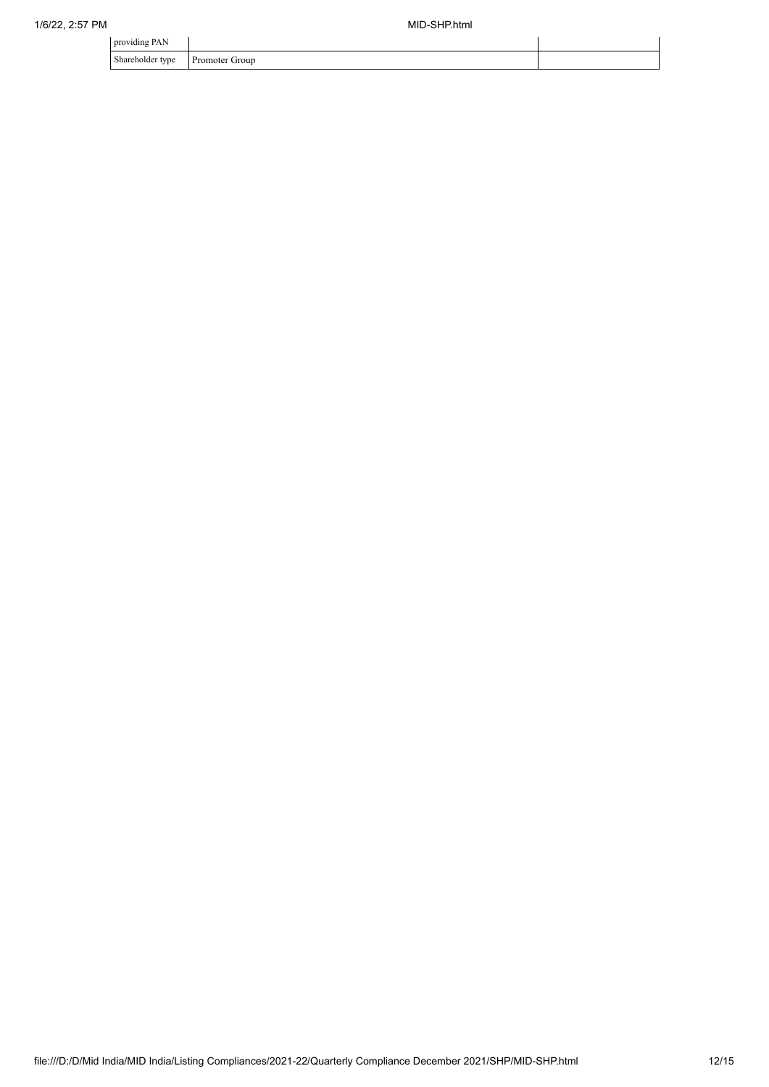| providing PAN                |                |  |
|------------------------------|----------------|--|
| Shareholder type<br>$\sim$ 1 | Promoter Group |  |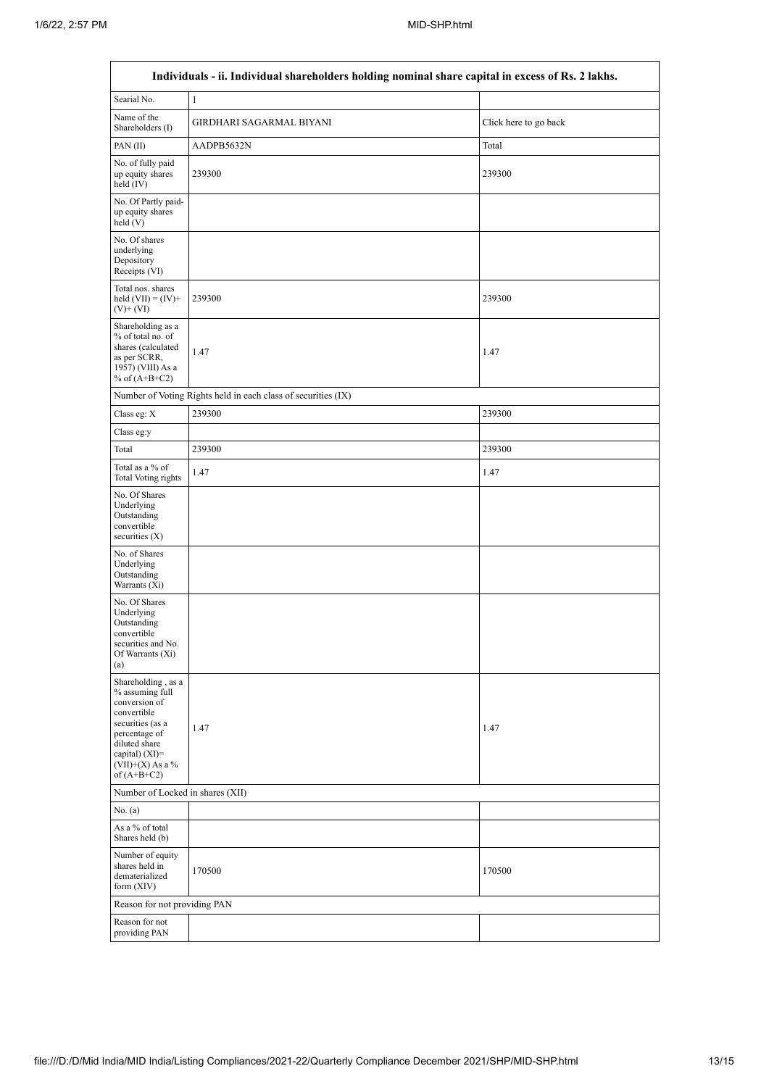| Individuals - ii. Individual shareholders holding nominal share capital in excess of Rs. 2 lakhs.                                                                                    |                                                               |                       |  |  |  |  |  |  |  |
|--------------------------------------------------------------------------------------------------------------------------------------------------------------------------------------|---------------------------------------------------------------|-----------------------|--|--|--|--|--|--|--|
| Searial No.                                                                                                                                                                          | $\mathbf{1}$                                                  |                       |  |  |  |  |  |  |  |
| Name of the<br>Shareholders (I)                                                                                                                                                      | GIRDHARI SAGARMAL BIYANI                                      | Click here to go back |  |  |  |  |  |  |  |
| PAN $(II)$                                                                                                                                                                           | AADPB5632N                                                    | Total                 |  |  |  |  |  |  |  |
| No. of fully paid<br>up equity shares<br>held (IV)                                                                                                                                   | 239300                                                        | 239300                |  |  |  |  |  |  |  |
| No. Of Partly paid-<br>up equity shares<br>held(V)                                                                                                                                   |                                                               |                       |  |  |  |  |  |  |  |
| No. Of shares<br>underlying<br>Depository<br>Receipts (VI)                                                                                                                           |                                                               |                       |  |  |  |  |  |  |  |
| Total nos. shares<br>held $(VII) = (IV) +$<br>$(V)$ + $(VI)$                                                                                                                         | 239300                                                        | 239300                |  |  |  |  |  |  |  |
| Shareholding as a<br>% of total no. of<br>shares (calculated<br>as per SCRR,<br>1957) (VIII) As a<br>% of $(A+B+C2)$                                                                 | 1.47                                                          | 1.47                  |  |  |  |  |  |  |  |
|                                                                                                                                                                                      | Number of Voting Rights held in each class of securities (IX) |                       |  |  |  |  |  |  |  |
| Class eg: $X$                                                                                                                                                                        | 239300                                                        | 239300                |  |  |  |  |  |  |  |
| Class eg:y                                                                                                                                                                           |                                                               |                       |  |  |  |  |  |  |  |
| Total                                                                                                                                                                                | 239300                                                        | 239300                |  |  |  |  |  |  |  |
| Total as a % of<br>Total Voting rights                                                                                                                                               | 1.47                                                          | 1.47                  |  |  |  |  |  |  |  |
| No. Of Shares<br>Underlying<br>Outstanding<br>convertible<br>securities (X)                                                                                                          |                                                               |                       |  |  |  |  |  |  |  |
| No. of Shares<br>Underlying<br>Outstanding<br>Warrants $(X_i)$                                                                                                                       |                                                               |                       |  |  |  |  |  |  |  |
| No. Of Shares<br>Underlying<br>Outstanding<br>convertible<br>securities and No.<br>Of Warrants (Xi)<br>(a)                                                                           |                                                               |                       |  |  |  |  |  |  |  |
| Shareholding, as a<br>% assuming full<br>conversion of<br>convertible<br>securities (as a<br>percentage of<br>diluted share<br>capital) (XI)=<br>$(VII)+(X)$ As a %<br>of $(A+B+C2)$ | 1.47                                                          | 1.47                  |  |  |  |  |  |  |  |
| Number of Locked in shares (XII)                                                                                                                                                     |                                                               |                       |  |  |  |  |  |  |  |
| No. (a)                                                                                                                                                                              |                                                               |                       |  |  |  |  |  |  |  |
| As a % of total<br>Shares held (b)                                                                                                                                                   |                                                               |                       |  |  |  |  |  |  |  |
| Number of equity<br>shares held in<br>dematerialized<br>form $(XIV)$                                                                                                                 | 170500                                                        | 170500                |  |  |  |  |  |  |  |
| Reason for not providing PAN                                                                                                                                                         |                                                               |                       |  |  |  |  |  |  |  |
| Reason for not<br>providing PAN                                                                                                                                                      |                                                               |                       |  |  |  |  |  |  |  |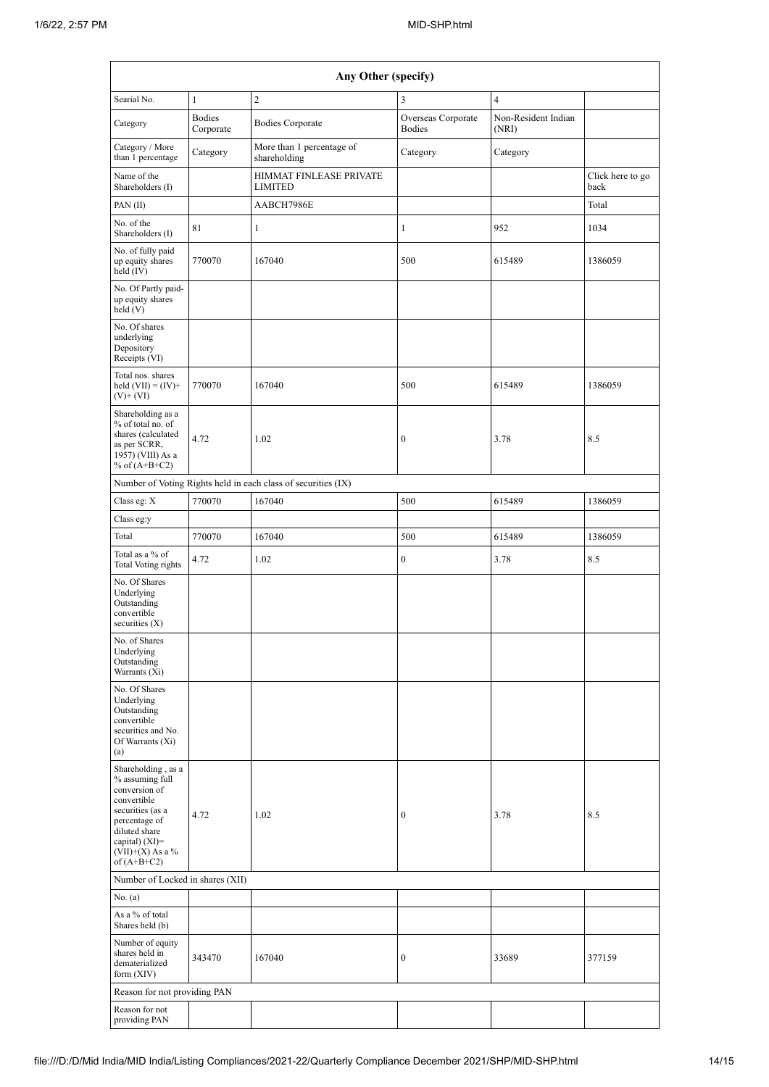| Any Other (specify)                                                                                                                                                                    |                            |                                                               |                                     |                              |                          |  |  |  |  |  |
|----------------------------------------------------------------------------------------------------------------------------------------------------------------------------------------|----------------------------|---------------------------------------------------------------|-------------------------------------|------------------------------|--------------------------|--|--|--|--|--|
| Searial No.                                                                                                                                                                            | $\mathbf{1}$               | $\overline{c}$                                                | 3                                   | $\overline{4}$               |                          |  |  |  |  |  |
| Category                                                                                                                                                                               | <b>Bodies</b><br>Corporate | <b>Bodies Corporate</b>                                       | Overseas Corporate<br><b>Bodies</b> | Non-Resident Indian<br>(NRI) |                          |  |  |  |  |  |
| Category / More<br>than 1 percentage                                                                                                                                                   | Category                   | More than 1 percentage of<br>shareholding                     | Category                            | Category                     |                          |  |  |  |  |  |
| Name of the<br>Shareholders (I)                                                                                                                                                        |                            | HIMMAT FINLEASE PRIVATE<br><b>LIMITED</b>                     |                                     |                              | Click here to go<br>back |  |  |  |  |  |
| PAN(II)                                                                                                                                                                                |                            | AABCH7986E                                                    |                                     |                              | Total                    |  |  |  |  |  |
| No. of the<br>Shareholders (I)                                                                                                                                                         | 81                         | $\mathbf{1}$                                                  | $\mathbf{1}$                        | 952                          | 1034                     |  |  |  |  |  |
| No. of fully paid<br>up equity shares<br>held (IV)                                                                                                                                     | 770070                     | 167040                                                        | 500                                 | 615489                       | 1386059                  |  |  |  |  |  |
| No. Of Partly paid-<br>up equity shares<br>held(V)                                                                                                                                     |                            |                                                               |                                     |                              |                          |  |  |  |  |  |
| No. Of shares<br>underlying<br>Depository<br>Receipts (VI)                                                                                                                             |                            |                                                               |                                     |                              |                          |  |  |  |  |  |
| Total nos. shares<br>held $(VII) = (IV) +$<br>$(V)$ + $(VI)$                                                                                                                           | 770070                     | 167040                                                        | 500                                 | 615489                       | 1386059                  |  |  |  |  |  |
| Shareholding as a<br>% of total no. of<br>shares (calculated<br>as per SCRR,<br>1957) (VIII) As a<br>% of $(A+B+C2)$                                                                   | 4.72                       | 1.02                                                          | $\boldsymbol{0}$                    | 3.78                         | 8.5                      |  |  |  |  |  |
|                                                                                                                                                                                        |                            | Number of Voting Rights held in each class of securities (IX) |                                     |                              |                          |  |  |  |  |  |
| Class eg: X                                                                                                                                                                            | 770070                     | 167040                                                        | 500                                 | 615489                       | 1386059                  |  |  |  |  |  |
| Class eg:y                                                                                                                                                                             |                            |                                                               |                                     |                              |                          |  |  |  |  |  |
| Total                                                                                                                                                                                  | 770070                     | 167040                                                        | 500                                 | 615489                       | 1386059                  |  |  |  |  |  |
| Total as a % of<br>Total Voting rights                                                                                                                                                 | 4.72                       | 1.02                                                          | $\boldsymbol{0}$                    | 3.78                         | 8.5                      |  |  |  |  |  |
| No. Of Shares<br>Underlying<br>Outstanding<br>convertible<br>securities $(X)$                                                                                                          |                            |                                                               |                                     |                              |                          |  |  |  |  |  |
| No. of Shares<br>Underlying<br>Outstanding<br>Warrants (Xi)                                                                                                                            |                            |                                                               |                                     |                              |                          |  |  |  |  |  |
| No. Of Shares<br>Underlying<br>Outstanding<br>convertible<br>securities and No.<br>Of Warrants (Xi)<br>(a)                                                                             |                            |                                                               |                                     |                              |                          |  |  |  |  |  |
| Shareholding, as a<br>% assuming full<br>conversion of<br>convertible<br>securities (as a<br>percentage of<br>diluted share<br>capital) $(XI)=$<br>$(VII)+(X)$ As a %<br>of $(A+B+C2)$ | 4.72                       | 1.02                                                          | $\mathbf{0}$                        | 3.78                         | 8.5                      |  |  |  |  |  |
| Number of Locked in shares (XII)                                                                                                                                                       |                            |                                                               |                                     |                              |                          |  |  |  |  |  |
| No. (a)                                                                                                                                                                                |                            |                                                               |                                     |                              |                          |  |  |  |  |  |
| As a % of total<br>Shares held (b)                                                                                                                                                     |                            |                                                               |                                     |                              |                          |  |  |  |  |  |
| Number of equity<br>shares held in<br>dematerialized<br>form $(XIV)$                                                                                                                   | 343470                     | 167040                                                        | $\mathbf{0}$                        | 33689                        | 377159                   |  |  |  |  |  |
| Reason for not providing PAN                                                                                                                                                           |                            |                                                               |                                     |                              |                          |  |  |  |  |  |
| Reason for not<br>providing PAN                                                                                                                                                        |                            |                                                               |                                     |                              |                          |  |  |  |  |  |